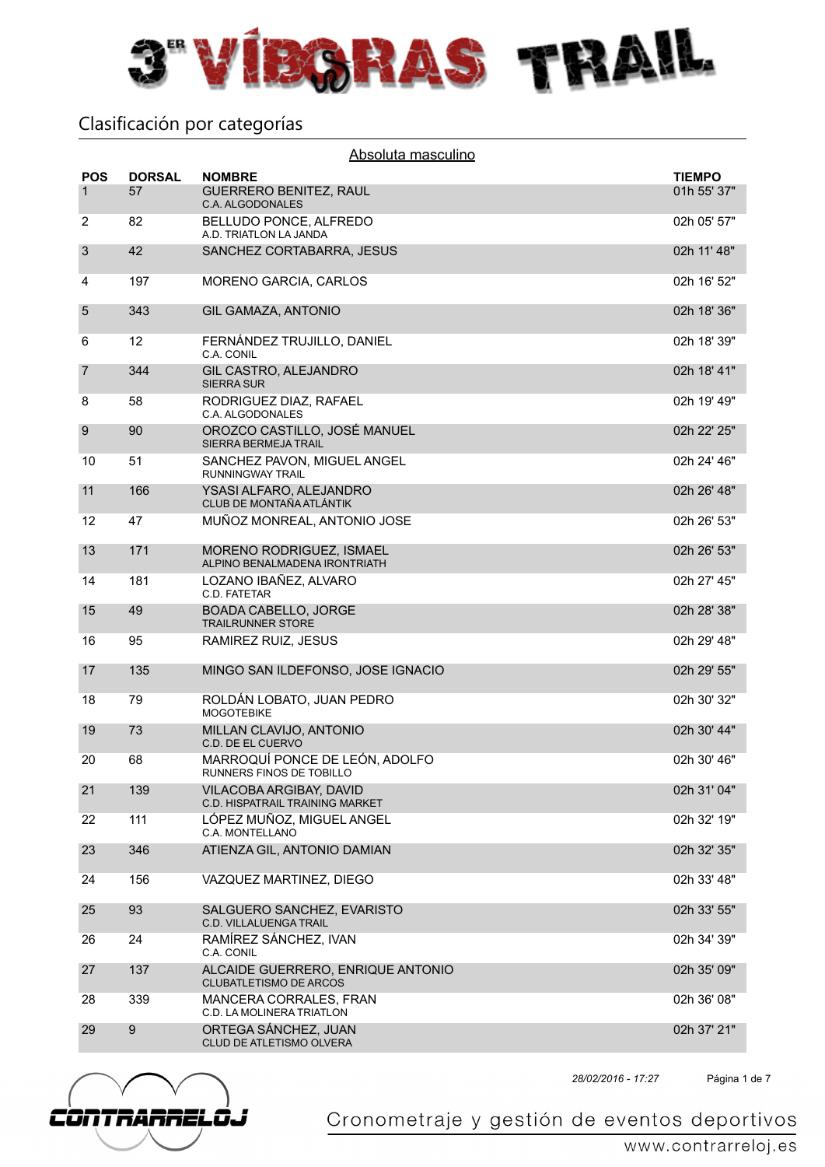

| Absoluta masculino         |                     |                                                                    |                              |  |
|----------------------------|---------------------|--------------------------------------------------------------------|------------------------------|--|
| <b>POS</b><br>$\mathbf{1}$ | <b>DORSAL</b><br>57 | <b>NOMBRE</b><br><b>GUERRERO BENITEZ, RAUL</b><br>C.A. ALGODONALES | <b>TIEMPO</b><br>01h 55' 37" |  |
| $\overline{c}$             | 82                  | BELLUDO PONCE, ALFREDO<br>A.D. TRIATLON LA JANDA                   | 02h 05' 57"                  |  |
| 3                          | 42                  | SANCHEZ CORTABARRA, JESUS                                          | 02h 11' 48"                  |  |
| 4                          | 197                 | MORENO GARCIA, CARLOS                                              | 02h 16' 52"                  |  |
| $\overline{5}$             | 343                 | <b>GIL GAMAZA, ANTONIO</b>                                         | 02h 18' 36"                  |  |
| 6                          | 12                  | FERNÁNDEZ TRUJILLO, DANIEL<br>C.A. CONIL                           | 02h 18' 39"                  |  |
| $\overline{7}$             | 344                 | GIL CASTRO, ALEJANDRO<br><b>SIERRA SUR</b>                         | 02h 18' 41"                  |  |
| 8                          | 58                  | RODRIGUEZ DIAZ, RAFAEL<br>C.A. ALGODONALES                         | 02h 19' 49"                  |  |
| 9                          | 90                  | OROZCO CASTILLO, JOSÉ MANUEL<br><b>SIERRA BERMEJA TRAIL</b>        | 02h 22' 25"                  |  |
| 10                         | 51                  | SANCHEZ PAVON, MIGUEL ANGEL<br>RUNNINGWAY TRAIL                    | 02h 24' 46"                  |  |
| 11                         | 166                 | YSASI ALFARO, ALEJANDRO<br>CLUB DE MONTAÑA ATLÁNTIK                | 02h 26' 48"                  |  |
| 12                         | 47                  | MUÑOZ MONREAL, ANTONIO JOSE                                        | 02h 26' 53"                  |  |
| 13                         | 171                 | MORENO RODRIGUEZ, ISMAEL<br>ALPINO BENALMADENA IRONTRIATH          | 02h 26' 53"                  |  |
| 14                         | 181                 | LOZANO IBAÑEZ, ALVARO<br>C.D. FATETAR                              | 02h 27' 45"                  |  |
| 15                         | 49                  | <b>BOADA CABELLO, JORGE</b><br><b>TRAILRUNNER STORE</b>            | 02h 28' 38"                  |  |
| 16                         | 95                  | RAMIREZ RUIZ, JESUS                                                | 02h 29' 48"                  |  |
| 17                         | 135                 | MINGO SAN ILDEFONSO, JOSE IGNACIO                                  | 02h 29' 55"                  |  |
| 18                         | 79                  | ROLDÁN LOBATO, JUAN PEDRO<br><b>MOGOTEBIKE</b>                     | 02h 30' 32"                  |  |
| 19                         | 73                  | MILLAN CLAVIJO, ANTONIO<br>C.D. DE EL CUERVO                       | 02h 30' 44"                  |  |
| 20                         | 68                  | MARROQUÍ PONCE DE LEÓN, ADOLFO<br>RUNNERS FINOS DE TOBILLO         | 02h 30' 46"                  |  |
| 21                         | 139                 | VILACOBA ARGIBAY, DAVID<br>C.D. HISPATRAIL TRAINING MARKET         | 02h 31' 04"                  |  |
| 22                         | 111                 | LÓPEZ MUÑOZ, MIGUEL ANGEL<br>C.A. MONTELLANO                       | 02h 32' 19"                  |  |
| 23                         | 346                 | ATIENZA GIL, ANTONIO DAMIAN                                        | 02h 32' 35"                  |  |
| 24                         | 156                 | VAZQUEZ MARTINEZ, DIEGO                                            | 02h 33' 48"                  |  |
| 25                         | 93                  | SALGUERO SANCHEZ, EVARISTO<br><b>C.D. VILLALUENGA TRAIL</b>        | 02h 33' 55"                  |  |
| 26                         | 24                  | RAMÍREZ SÁNCHEZ, IVAN<br>C.A. CONIL                                | 02h 34' 39"                  |  |
| 27                         | 137                 | ALCAIDE GUERRERO, ENRIQUE ANTONIO<br><b>CLUBATLETISMO DE ARCOS</b> | 02h 35' 09"                  |  |
| 28                         | 339                 | MANCERA CORRALES, FRAN<br>C.D. LA MOLINERA TRIATLON                | 02h 36' 08"                  |  |
| 29                         | $\boldsymbol{9}$    | ORTEGA SÁNCHEZ, JUAN<br><b>CLUD DE ATLETISMO OLVERA</b>            | 02h 37' 21"                  |  |



Página 1 de 7 *28/02/2016 - 17:27*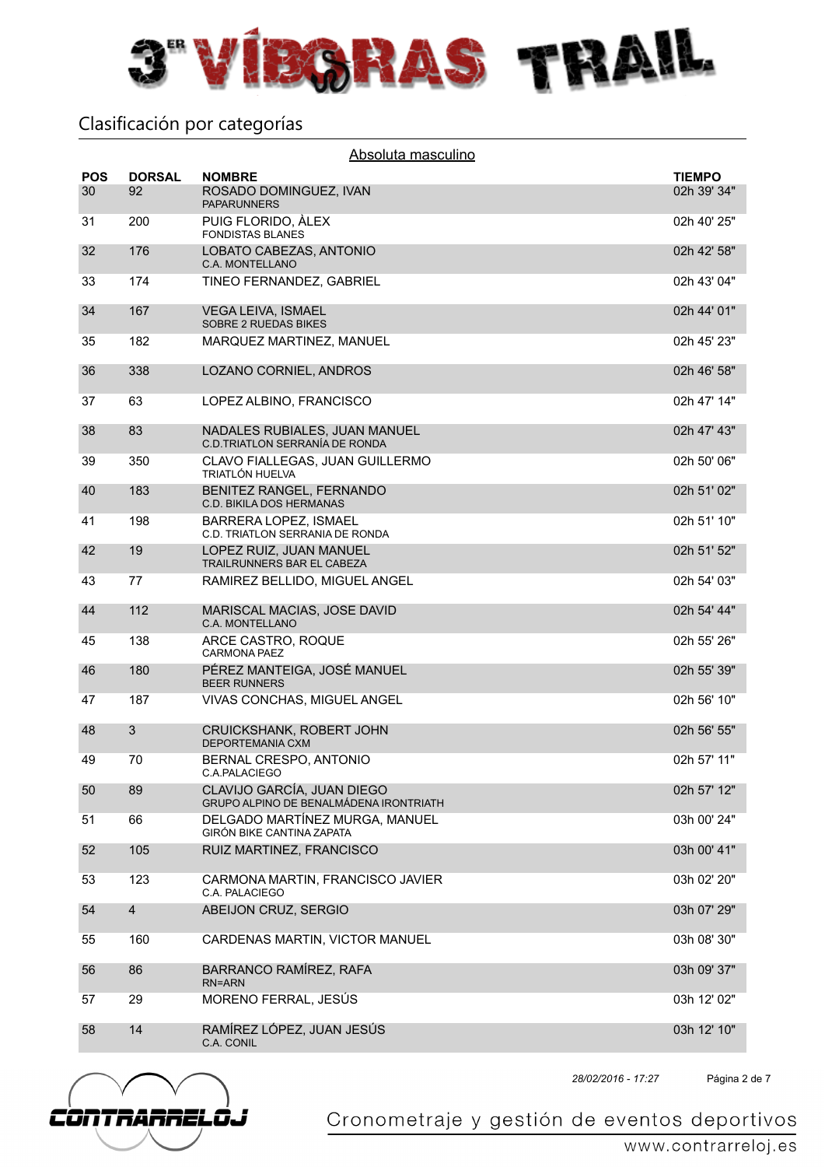

| <b>POS</b> | <b>DORSAL</b>  | Absoluta masculino<br><b>NOMBRE</b>                                  | <b>TIEMPO</b> |
|------------|----------------|----------------------------------------------------------------------|---------------|
| 30         | 92             | ROSADO DOMINGUEZ, IVAN<br><b>PAPARUNNERS</b>                         | 02h 39' 34"   |
| 31         | 200            | PUIG FLORIDO, ALEX<br><b>FONDISTAS BLANES</b>                        | 02h 40' 25"   |
| 32         | 176            | LOBATO CABEZAS, ANTONIO<br>C.A. MONTELLANO                           | 02h 42' 58"   |
| 33         | 174            | TINEO FERNANDEZ, GABRIEL                                             | 02h 43' 04"   |
| 34         | 167            | <b>VEGA LEIVA, ISMAEL</b><br><b>SOBRE 2 RUEDAS BIKES</b>             | 02h 44' 01"   |
| 35         | 182            | MARQUEZ MARTINEZ, MANUEL                                             | 02h 45' 23"   |
| 36         | 338            | LOZANO CORNIEL, ANDROS                                               | 02h 46' 58"   |
| 37         | 63             | LOPEZ ALBINO, FRANCISCO                                              | 02h 47' 14"   |
| 38         | 83             | NADALES RUBIALES, JUAN MANUEL<br>C.D.TRIATLON SERRANÍA DE RONDA      | 02h 47' 43"   |
| 39         | 350            | CLAVO FIALLEGAS, JUAN GUILLERMO<br><b>TRIATLÓN HUELVA</b>            | 02h 50' 06"   |
| 40         | 183            | BENITEZ RANGEL, FERNANDO<br><b>C.D. BIKILA DOS HERMANAS</b>          | 02h 51' 02"   |
| 41         | 198            | BARRERA LOPEZ, ISMAEL<br>C.D. TRIATLON SERRANIA DE RONDA             | 02h 51' 10"   |
| 42         | 19             | LOPEZ RUIZ, JUAN MANUEL<br>TRAILRUNNERS BAR EL CABEZA                | 02h 51' 52"   |
| 43         | 77             | RAMIREZ BELLIDO, MIGUEL ANGEL                                        | 02h 54' 03"   |
| 44         | 112            | MARISCAL MACIAS, JOSE DAVID<br>C.A. MONTELLANO                       | 02h 54' 44"   |
| 45         | 138            | ARCE CASTRO, ROQUE<br><b>CARMONA PAEZ</b>                            | 02h 55' 26"   |
| 46         | 180            | PÉREZ MANTEIGA, JOSÉ MANUEL<br><b>BEER RUNNERS</b>                   | 02h 55' 39"   |
| 47         | 187            | VIVAS CONCHAS, MIGUEL ANGEL                                          | 02h 56' 10"   |
| 48         | 3              | CRUICKSHANK, ROBERT JOHN<br>DEPORTEMANIA CXM                         | 02h 56' 55"   |
| 49         | 70             | BERNAL CRESPO, ANTONIO<br>C.A.PALACIEGO                              | 02h 57' 11"   |
| 50         | 89             | CLAVIJO GARCÍA, JUAN DIEGO<br>GRUPO ALPINO DE BENALMÁDENA IRONTRIATH | 02h 57' 12"   |
| 51         | 66             | DELGADO MARTÍNEZ MURGA, MANUEL<br><b>GIRÓN BIKE CANTINA ZAPATA</b>   | 03h 00' 24"   |
| 52         | 105            | RUIZ MARTINEZ, FRANCISCO                                             | 03h 00' 41"   |
| 53         | 123            | CARMONA MARTIN, FRANCISCO JAVIER<br>C.A. PALACIEGO                   | 03h 02' 20"   |
| 54         | $\overline{4}$ | ABEIJON CRUZ, SERGIO                                                 | 03h 07' 29"   |
| 55         | 160            | CARDENAS MARTIN, VICTOR MANUEL                                       | 03h 08' 30"   |
| 56         | 86             | BARRANCO RAMÍREZ, RAFA<br><b>RN=ARN</b>                              | 03h 09' 37"   |
| 57         | 29             | MORENO FERRAL, JESÚS                                                 | 03h 12' 02"   |
| 58         | 14             | RAMÍREZ LÓPEZ, JUAN JESÚS<br>C.A. CONIL                              | 03h 12' 10"   |



Página 2 de 7 *28/02/2016 - 17:27*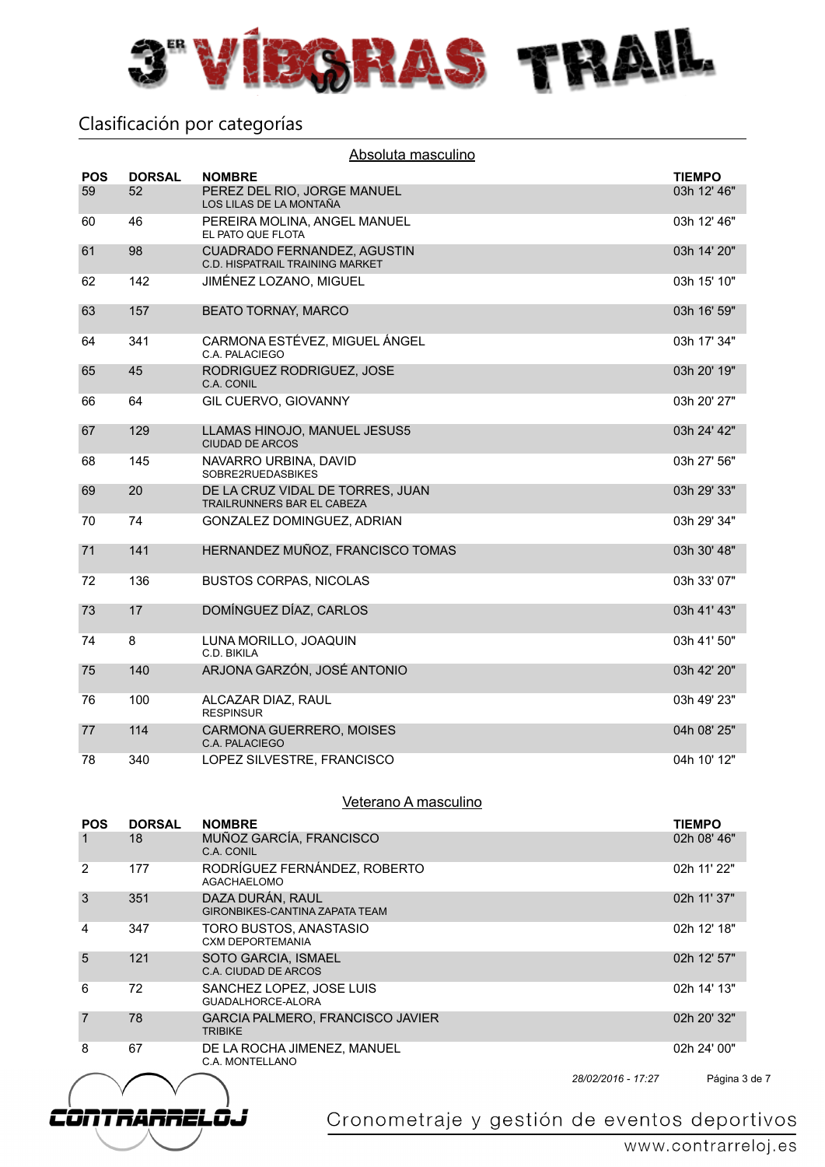

|            | Absoluta masculino |                                                                       |               |  |  |
|------------|--------------------|-----------------------------------------------------------------------|---------------|--|--|
| <b>POS</b> | <b>DORSAL</b>      | <b>NOMBRE</b>                                                         | <b>TIEMPO</b> |  |  |
| 59         | 52                 | PEREZ DEL RIO, JORGE MANUEL<br>LOS LILAS DE LA MONTAÑA                | 03h 12' 46"   |  |  |
| 60         | 46                 | PEREIRA MOLINA, ANGEL MANUEL<br>EL PATO QUE FLOTA                     | 03h 12' 46"   |  |  |
| 61         | 98                 | CUADRADO FERNANDEZ, AGUSTIN<br><b>C.D. HISPATRAIL TRAINING MARKET</b> | 03h 14' 20"   |  |  |
| 62         | 142                | JIMÉNEZ LOZANO, MIGUEL                                                | 03h 15' 10"   |  |  |
| 63         | 157                | <b>BEATO TORNAY, MARCO</b>                                            | 03h 16' 59"   |  |  |
| 64         | 341                | CARMONA ESTÉVEZ, MIGUEL ÁNGEL<br>C.A. PALACIEGO                       | 03h 17' 34"   |  |  |
| 65         | 45                 | RODRIGUEZ RODRIGUEZ, JOSE<br>C.A. CONIL                               | 03h 20' 19"   |  |  |
| 66         | 64                 | GIL CUERVO, GIOVANNY                                                  | 03h 20' 27"   |  |  |
| 67         | 129                | LLAMAS HINOJO, MANUEL JESUS5<br><b>CIUDAD DE ARCOS</b>                | 03h 24' 42"   |  |  |
| 68         | 145                | NAVARRO URBINA, DAVID<br>SOBRE2RUEDASBIKES                            | 03h 27' 56"   |  |  |
| 69         | 20                 | DE LA CRUZ VIDAL DE TORRES, JUAN<br>TRAILRUNNERS BAR EL CABEZA        | 03h 29' 33"   |  |  |
| 70         | 74                 | GONZALEZ DOMINGUEZ, ADRIAN                                            | 03h 29' 34"   |  |  |
| 71         | 141                | HERNANDEZ MUÑOZ, FRANCISCO TOMAS                                      | 03h 30' 48"   |  |  |
| 72         | 136                | <b>BUSTOS CORPAS, NICOLAS</b>                                         | 03h 33' 07"   |  |  |
| 73         | 17                 | DOMÍNGUEZ DÍAZ, CARLOS                                                | 03h 41' 43"   |  |  |
| 74         | 8                  | LUNA MORILLO, JOAQUIN<br>C.D. BIKILA                                  | 03h 41' 50"   |  |  |
| 75         | 140                | ARJONA GARZÓN, JOSÉ ANTONIO                                           | 03h 42' 20"   |  |  |
| 76         | 100                | ALCAZAR DIAZ, RAUL<br><b>RESPINSUR</b>                                | 03h 49' 23"   |  |  |
| 77         | 114                | CARMONA GUERRERO, MOISES<br>C.A. PALACIEGO                            | 04h 08' 25"   |  |  |
| 78         | 340                | LOPEZ SILVESTRE, FRANCISCO                                            | 04h 10' 12"   |  |  |

#### Veterano A masculino

| <b>POS</b> | <b>DORSAL</b> | <b>NOMBRE</b>                                             |                    | <b>TIEMPO</b> |
|------------|---------------|-----------------------------------------------------------|--------------------|---------------|
|            | 18            | MUÑOZ GARCÍA, FRANCISCO<br>C.A. CONIL                     |                    | 02h 08' 46"   |
| 2          | 177           | RODRÍGUEZ FERNÁNDEZ, ROBERTO<br><b>AGACHAELOMO</b>        |                    | 02h 11' 22"   |
| 3          | 351           | DAZA DURÁN, RAUL<br><b>GIRONBIKES-CANTINA ZAPATA TEAM</b> |                    | 02h 11' 37"   |
| 4          | 347           | TORO BUSTOS, ANASTASIO<br><b>CXM DEPORTEMANIA</b>         |                    | 02h 12' 18"   |
| 5          | 121           | SOTO GARCIA, ISMAEL<br>C.A. CIUDAD DE ARCOS               |                    | 02h 12' 57"   |
| 6          | 72            | SANCHEZ LOPEZ, JOSE LUIS<br>GUADALHORCE-ALORA             |                    | 02h 14' 13"   |
| 7          | 78            | GARCIA PALMERO, FRANCISCO JAVIER<br><b>TRIBIKE</b>        |                    | 02h 20' 32"   |
| 8          | 67            | DE LA ROCHA JIMENEZ, MANUEL<br>C.A. MONTELLANO            |                    | 02h 24' 00"   |
|            |               |                                                           | 28/02/2016 - 17:27 | Página 3 de 7 |

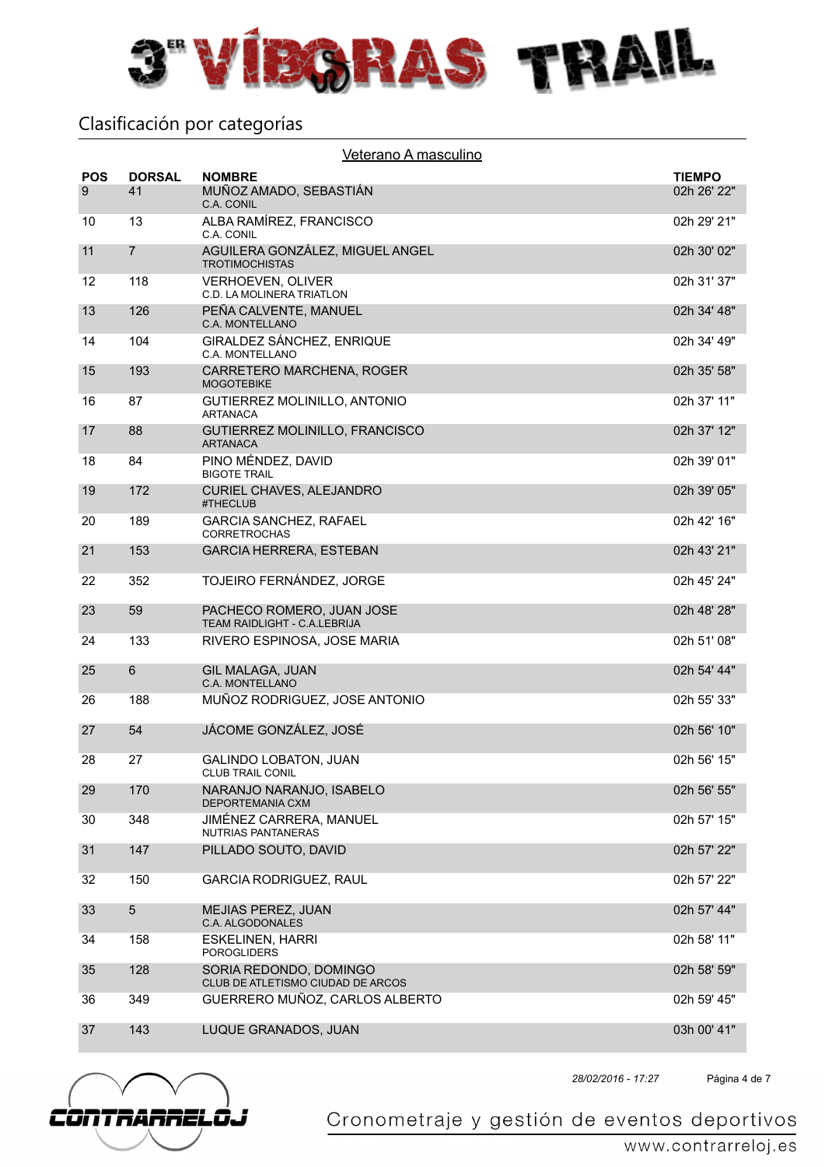

| <b>POS</b> | <b>DORSAL</b>  | <b>NOMBRE</b>                                               | <b>TIEMPO</b> |
|------------|----------------|-------------------------------------------------------------|---------------|
| 9          | 41             | MUÑOZ AMADO, SEBASTIÁN<br>C.A. CONIL                        | 02h 26' 22"   |
| 10         | 13             | ALBA RAMÍREZ, FRANCISCO<br>C.A. CONIL                       | 02h 29' 21"   |
| 11         | $\overline{7}$ | AGUILERA GONZÁLEZ, MIGUEL ANGEL<br><b>TROTIMOCHISTAS</b>    | 02h 30' 02"   |
| 12         | 118            | VERHOEVEN, OLIVER<br>C.D. LA MOLINERA TRIATLON              | 02h 31' 37"   |
| 13         | 126            | PEÑA CALVENTE, MANUEL<br>C.A. MONTELLANO                    | 02h 34' 48"   |
| 14         | 104            | GIRALDEZ SÁNCHEZ, ENRIQUE<br>C.A. MONTELLANO                | 02h 34' 49"   |
| 15         | 193            | CARRETERO MARCHENA, ROGER<br><b>MOGOTEBIKE</b>              | 02h 35' 58"   |
| 16         | 87             | GUTIERREZ MOLINILLO, ANTONIO<br><b>ARTANACA</b>             | 02h 37' 11"   |
| 17         | 88             | GUTIERREZ MOLINILLO, FRANCISCO<br><b>ARTANACA</b>           | 02h 37' 12"   |
| 18         | 84             | PINO MÉNDEZ, DAVID<br><b>BIGOTE TRAIL</b>                   | 02h 39' 01"   |
| 19         | 172            | <b>CURIEL CHAVES, ALEJANDRO</b><br>#THECLUB                 | 02h 39' 05"   |
| 20         | 189            | <b>GARCIA SANCHEZ, RAFAEL</b><br><b>CORRETROCHAS</b>        | 02h 42' 16"   |
| 21         | 153            | <b>GARCIA HERRERA, ESTEBAN</b>                              | 02h 43' 21"   |
| 22         | 352            | TOJEIRO FERNÁNDEZ, JORGE                                    | 02h 45' 24"   |
| 23         | 59             | PACHECO ROMERO, JUAN JOSE<br>TEAM RAIDLIGHT - C.A.LEBRIJA   | 02h 48' 28"   |
| 24         | 133            | RIVERO ESPINOSA, JOSE MARIA                                 | 02h 51' 08"   |
| 25         | 6              | <b>GIL MALAGA, JUAN</b><br>C.A. MONTELLANO                  | 02h 54' 44"   |
| 26         | 188            | MUÑOZ RODRIGUEZ, JOSE ANTONIO                               | 02h 55' 33"   |
| 27         | 54             | JÁCOME GONZÁLEZ, JOSÉ                                       | 02h 56' 10"   |
| 28         | 27             | <b>GALINDO LOBATON, JUAN</b><br>CLUB TRAIL CONIL            | 02h 56' 15"   |
| 29         | 170            | NARANJO NARANJO. ISABELO<br><b>DEPORTEMANIA CXM</b>         | 02h 56' 55"   |
| 30         | 348            | JIMÉNEZ CARRERA, MANUEL<br>NUTRIAS PANTANERAS               | 02h 57' 15"   |
| 31         | 147            | PILLADO SOUTO, DAVID                                        | 02h 57' 22"   |
| 32         | 150            | <b>GARCIA RODRIGUEZ, RAUL</b>                               | 02h 57' 22"   |
| 33         | 5              | MEJIAS PEREZ, JUAN<br>C.A. ALGODONALES                      | 02h 57' 44"   |
| 34         | 158            | <b>ESKELINEN, HARRI</b><br><b>POROGLIDERS</b>               | 02h 58' 11"   |
| 35         | 128            | SORIA REDONDO, DOMINGO<br>CLUB DE ATLETISMO CIUDAD DE ARCOS | 02h 58' 59"   |
| 36         | 349            | GUERRERO MUÑOZ, CARLOS ALBERTO                              | 02h 59' 45"   |
| 37         | 143            | LUQUE GRANADOS, JUAN                                        | 03h 00' 41"   |



Página 4 de 7 *28/02/2016 - 17:27*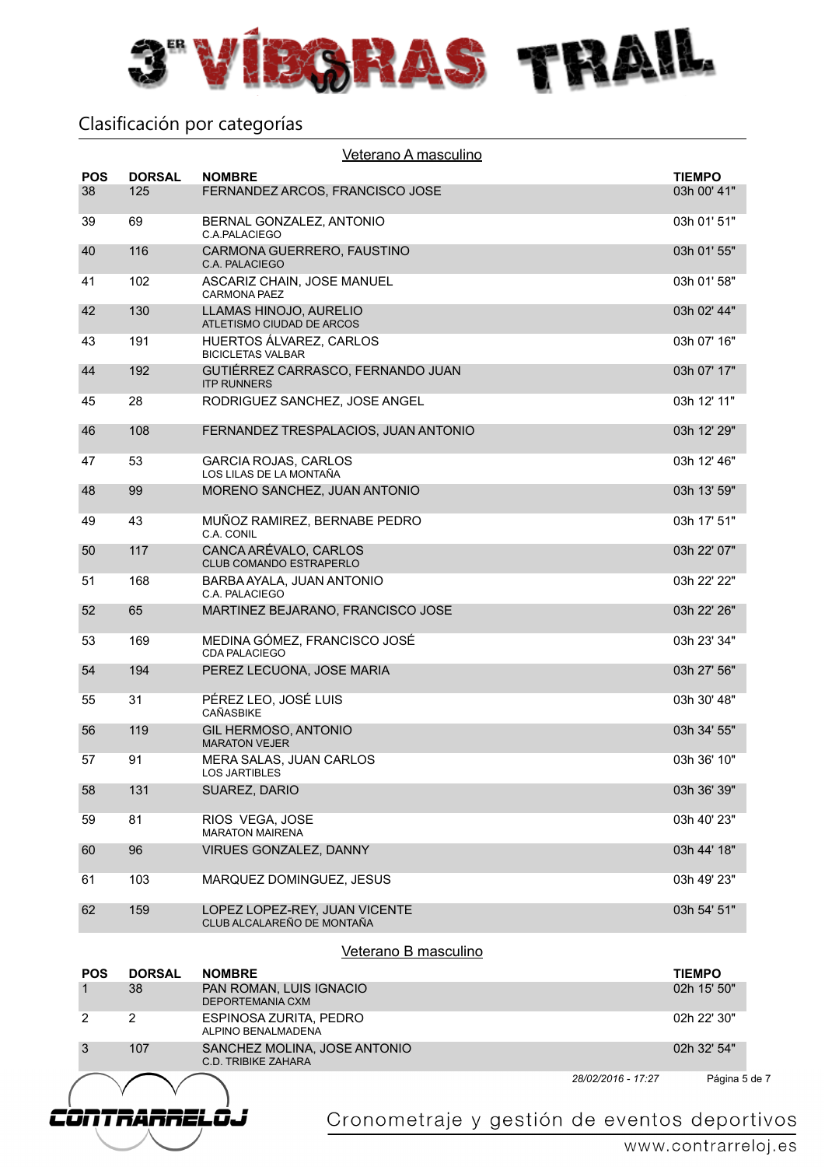

|                  | Veterano A masculino |                                                             |                    |                              |  |
|------------------|----------------------|-------------------------------------------------------------|--------------------|------------------------------|--|
| <b>POS</b><br>38 | <b>DORSAL</b><br>125 | <b>NOMBRE</b><br>FERNANDEZ ARCOS, FRANCISCO JOSE            |                    | <b>TIEMPO</b><br>03h 00' 41" |  |
| 39               | 69                   | BERNAL GONZALEZ, ANTONIO<br>C.A.PALACIEGO                   |                    | 03h 01' 51"                  |  |
| 40               | 116                  | CARMONA GUERRERO, FAUSTINO<br>C.A. PALACIEGO                |                    | 03h 01' 55"                  |  |
| 41               | 102                  | ASCARIZ CHAIN, JOSE MANUEL<br><b>CARMONA PAEZ</b>           |                    | 03h 01' 58"                  |  |
| 42               | 130                  | LLAMAS HINOJO, AURELIO<br>ATLETISMO CIUDAD DE ARCOS         |                    | 03h 02' 44"                  |  |
| 43               | 191                  | HUERTOS ÁLVAREZ, CARLOS<br><b>BICICLETAS VALBAR</b>         |                    | 03h 07' 16"                  |  |
| 44               | 192                  | GUTIÉRREZ CARRASCO, FERNANDO JUAN<br><b>ITP RUNNERS</b>     |                    | 03h 07' 17"                  |  |
| 45               | 28                   | RODRIGUEZ SANCHEZ, JOSE ANGEL                               |                    | 03h 12' 11"                  |  |
| 46               | 108                  | FERNANDEZ TRESPALACIOS, JUAN ANTONIO                        |                    | 03h 12' 29"                  |  |
| 47               | 53                   | <b>GARCIA ROJAS, CARLOS</b><br>LOS LILAS DE LA MONTAÑA      |                    | 03h 12' 46"                  |  |
| 48               | 99                   | MORENO SANCHEZ, JUAN ANTONIO                                |                    | 03h 13' 59"                  |  |
| 49               | 43                   | MUÑOZ RAMIREZ, BERNABE PEDRO<br>C.A. CONIL                  |                    | 03h 17' 51"                  |  |
| 50               | 117                  | CANCA ARÉVALO, CARLOS<br>CLUB COMANDO ESTRAPERLO            |                    | 03h 22' 07"                  |  |
| 51               | 168                  | BARBA AYALA, JUAN ANTONIO<br>C.A. PALACIEGO                 |                    | 03h 22' 22"                  |  |
| 52               | 65                   | MARTINEZ BEJARANO, FRANCISCO JOSE                           |                    | 03h 22' 26"                  |  |
| 53               | 169                  | MEDINA GÓMEZ, FRANCISCO JOSÉ<br><b>CDA PALACIEGO</b>        |                    | 03h 23' 34"                  |  |
| 54               | 194                  | PEREZ LECUONA, JOSE MARIA                                   |                    | 03h 27' 56"                  |  |
| 55               | 31                   | PÉREZ LEO, JOSÉ LUIS<br><b>CAÑASBIKE</b>                    |                    | 03h 30' 48"                  |  |
| 56               | 119                  | GIL HERMOSO, ANTONIO<br><b>MARATON VEJER</b>                |                    | 03h 34' 55"                  |  |
| 57               | 91                   | MERA SALAS, JUAN CARLOS<br><b>LOS JARTIBLES</b>             |                    | 03h 36' 10"                  |  |
| 58               | 131                  | SUAREZ, DARIO                                               |                    | 03h 36' 39"                  |  |
| 59               | 81                   | RIOS VEGA, JOSE<br><b>MARATON MAIRENA</b>                   |                    | 03h 40' 23"                  |  |
| 60               | 96                   | VIRUES GONZALEZ, DANNY                                      |                    | 03h 44' 18"                  |  |
| 61               | 103                  | MARQUEZ DOMINGUEZ, JESUS                                    |                    | 03h 49' 23"                  |  |
| 62               | 159                  | LOPEZ LOPEZ-REY, JUAN VICENTE<br>CLUB ALCALAREÑO DE MONTAÑA |                    | 03h 54' 51"                  |  |
|                  |                      | Veterano B masculino                                        |                    |                              |  |
| <b>POS</b>       | <b>DORSAL</b>        | <b>NOMBRE</b>                                               |                    | <b>TIEMPO</b>                |  |
| 1                | 38                   | PAN ROMAN, LUIS IGNACIO<br>DEPORTEMANIA CXM                 |                    | 02h 15' 50"                  |  |
| 2                | 2                    | ESPINOSA ZURITA, PEDRO<br>ALPINO BENALMADENA                |                    | 02h 22' 30"                  |  |
| $\mathbf{3}$     | 107                  | SANCHEZ MOLINA, JOSE ANTONIO<br><b>C.D. TRIBIKE ZAHARA</b>  |                    | 02h 32' 54"                  |  |
|                  |                      |                                                             | 28/02/2016 - 17:27 | Página 5 de 7                |  |

 $\vee$  $\vee$ CONTRARREL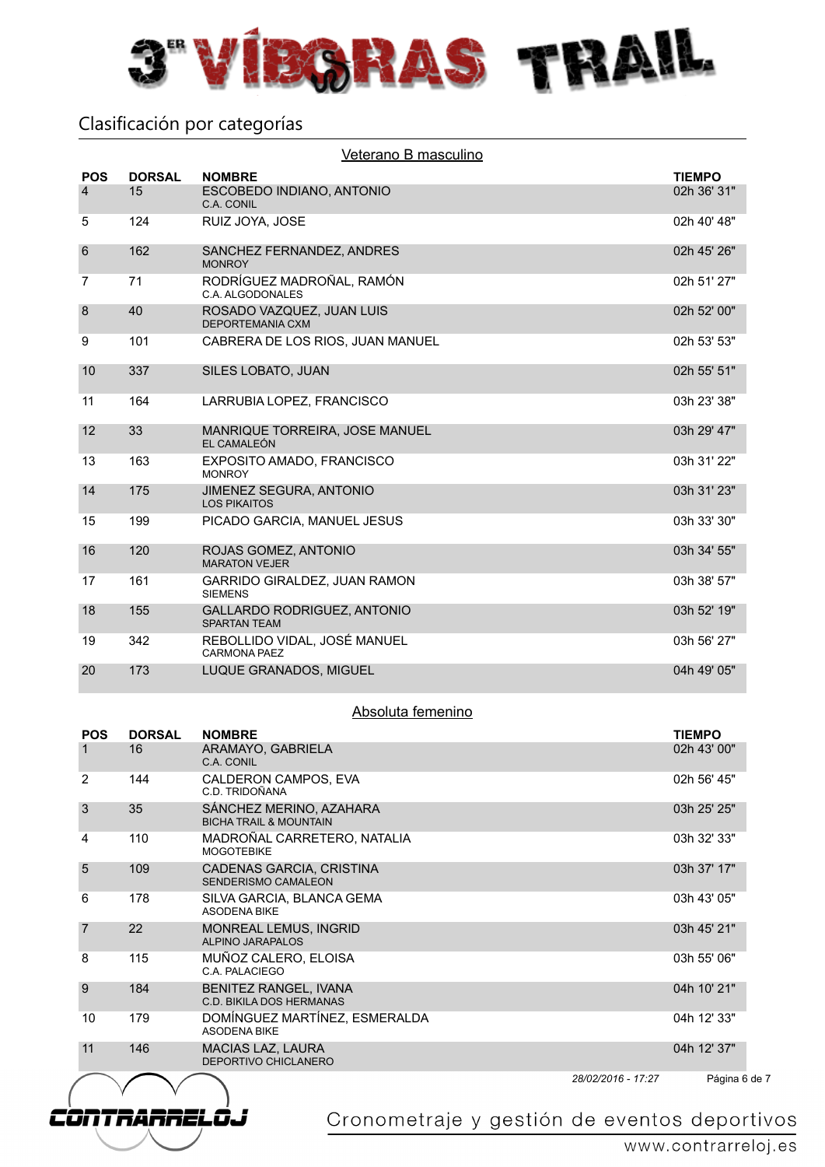

CÒNTRARRELO.

| <b>POS</b>     | <b>DORSAL</b> | Veterano B masculino<br><b>NOMBRE</b>                     | <b>TIEMPO</b> |
|----------------|---------------|-----------------------------------------------------------|---------------|
| $\overline{4}$ | 15            | ESCOBEDO INDIANO, ANTONIO<br>C.A. CONIL                   | 02h 36' 31"   |
| 5              | 124           | RUIZ JOYA, JOSE                                           | 02h 40' 48"   |
| 6              | 162           | SANCHEZ FERNANDEZ, ANDRES<br><b>MONROY</b>                | 02h 45' 26"   |
| $\overline{7}$ | 71            | RODRÍGUEZ MADROÑAL, RAMÓN<br>C.A. ALGODONALES             | 02h 51' 27"   |
| 8              | 40            | ROSADO VAZQUEZ, JUAN LUIS<br>DEPORTEMANIA CXM             | 02h 52' 00"   |
| 9              | 101           | CABRERA DE LOS RIOS, JUAN MANUEL                          | 02h 53' 53"   |
| 10             | 337           | SILES LOBATO, JUAN                                        | 02h 55' 51"   |
| 11             | 164           | LARRUBIA LOPEZ, FRANCISCO                                 | 03h 23' 38"   |
| 12             | 33            | MANRIQUE TORREIRA, JOSE MANUEL<br>EL CAMALEÓN             | 03h 29' 47"   |
| 13             | 163           | EXPOSITO AMADO, FRANCISCO<br><b>MONROY</b>                | 03h 31' 22"   |
| 14             | 175           | <b>JIMENEZ SEGURA, ANTONIO</b><br><b>LOS PIKAITOS</b>     | 03h 31' 23"   |
| 15             | 199           | PICADO GARCIA, MANUEL JESUS                               | 03h 33' 30"   |
| 16             | 120           | ROJAS GOMEZ, ANTONIO<br><b>MARATON VEJER</b>              | 03h 34' 55"   |
| 17             | 161           | GARRIDO GIRALDEZ, JUAN RAMON<br><b>SIEMENS</b>            | 03h 38' 57"   |
| 18             | 155           | <b>GALLARDO RODRIGUEZ, ANTONIO</b><br><b>SPARTAN TEAM</b> | 03h 52' 19"   |
| 19             | 342           | REBOLLIDO VIDAL, JOSÉ MANUEL<br>CARMONA PAEZ              | 03h 56' 27"   |
| 20             | 173           | LUQUE GRANADOS, MIGUEL                                    | 04h 49' 05"   |

#### Absoluta femenino

| <b>POS</b>     | <b>DORSAL</b> | <b>NOMBRE</b>                                                   | <b>TIEMPO</b> |
|----------------|---------------|-----------------------------------------------------------------|---------------|
| 1              | 16            | ARAMAYO, GABRIELA<br>C.A. CONIL                                 | 02h 43' 00"   |
| 2              | 144           | CALDERON CAMPOS, EVA<br>C.D. TRIDOÑANA                          | 02h 56' 45"   |
| 3              | 35            | SÁNCHEZ MERINO, AZAHARA<br><b>BICHA TRAIL &amp; MOUNTAIN</b>    | 03h 25' 25"   |
| 4              | 110           | MADROÑAL CARRETERO, NATALIA<br><b>MOGOTFBIKE</b>                | 03h 32' 33"   |
| 5              | 109           | CADENAS GARCIA, CRISTINA<br>SENDERISMO CAMALEON                 | 03h 37' 17"   |
| 6              | 178           | SILVA GARCIA, BLANCA GEMA<br><b>ASODENA BIKE</b>                | 03h 43' 05"   |
| $\overline{7}$ | 22            | <b>MONREAL LEMUS, INGRID</b><br><b>ALPINO JARAPALOS</b>         | 03h 45' 21"   |
| 8              | 115           | MUÑOZ CALERO, ELOISA<br>C.A. PALACIEGO                          | 03h 55' 06"   |
| 9              | 184           | <b>BENITEZ RANGEL, IVANA</b><br><b>C.D. BIKILA DOS HERMANAS</b> | 04h 10' 21"   |
| 10             | 179           | DOMÍNGUEZ MARTÍNEZ, ESMERALDA<br><b>ASODENA BIKE</b>            | 04h 12' 33"   |
| 11             | 146           | <b>MACIAS LAZ, LAURA</b><br>DEPORTIVO CHICLANERO                | 04h 12' 37"   |
|                |               |                                                                 |               |

*28/02/2016 - 17:27*

Página 6 de 7